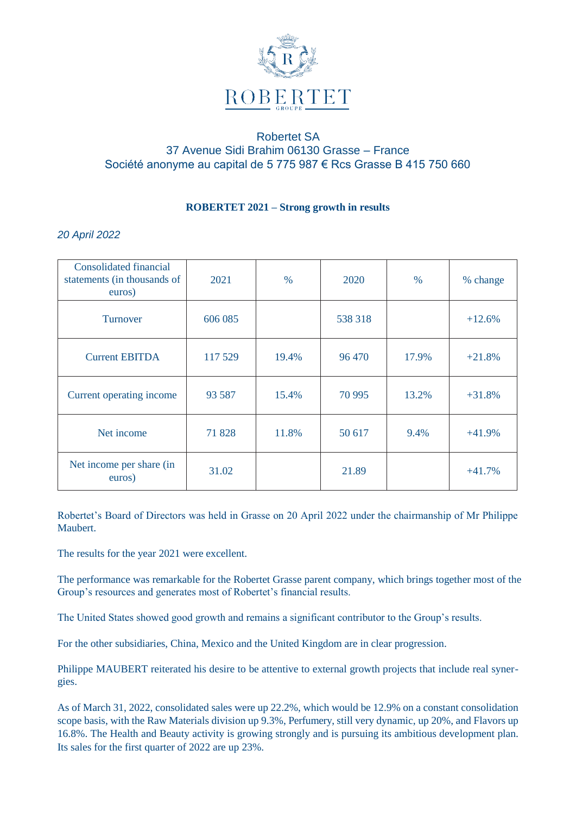

## Robertet SA 37 Avenue Sidi Brahim 06130 Grasse – France Société anonyme au capital de 5 775 987 € Rcs Grasse B 415 750 660

## **ROBERTET 2021 – Strong growth in results**

## *20 April 2022*

| <b>Consolidated financial</b><br>statements (in thousands of<br>euros) | 2021    | $\%$  | 2020    | $\%$  | % change |
|------------------------------------------------------------------------|---------|-------|---------|-------|----------|
| <b>Turnover</b>                                                        | 606 085 |       | 538 318 |       | $+12.6%$ |
| <b>Current EBITDA</b>                                                  | 117 529 | 19.4% | 96 470  | 17.9% | $+21.8%$ |
| Current operating income                                               | 93 5 87 | 15.4% | 70 995  | 13.2% | $+31.8%$ |
| Net income                                                             | 71828   | 11.8% | 50 617  | 9.4%  | $+41.9%$ |
| Net income per share (in<br>euros)                                     | 31.02   |       | 21.89   |       | $+41.7%$ |

Robertet's Board of Directors was held in Grasse on 20 April 2022 under the chairmanship of Mr Philippe Maubert.

The results for the year 2021 were excellent.

The performance was remarkable for the Robertet Grasse parent company, which brings together most of the Group's resources and generates most of Robertet's financial results.

The United States showed good growth and remains a significant contributor to the Group's results.

For the other subsidiaries, China, Mexico and the United Kingdom are in clear progression.

Philippe MAUBERT reiterated his desire to be attentive to external growth projects that include real synergies.

As of March 31, 2022, consolidated sales were up 22.2%, which would be 12.9% on a constant consolidation scope basis, with the Raw Materials division up 9.3%, Perfumery, still very dynamic, up 20%, and Flavors up 16.8%. The Health and Beauty activity is growing strongly and is pursuing its ambitious development plan. Its sales for the first quarter of 2022 are up 23%.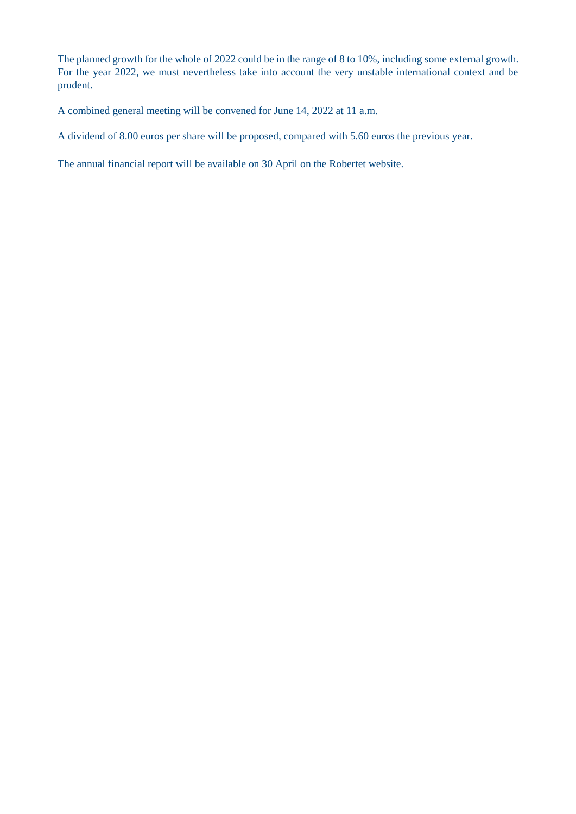The planned growth for the whole of 2022 could be in the range of 8 to 10%, including some external growth. For the year 2022, we must nevertheless take into account the very unstable international context and be prudent.

A combined general meeting will be convened for June 14, 2022 at 11 a.m.

A dividend of 8.00 euros per share will be proposed, compared with 5.60 euros the previous year.

The annual financial report will be available on 30 April on the Robertet website.